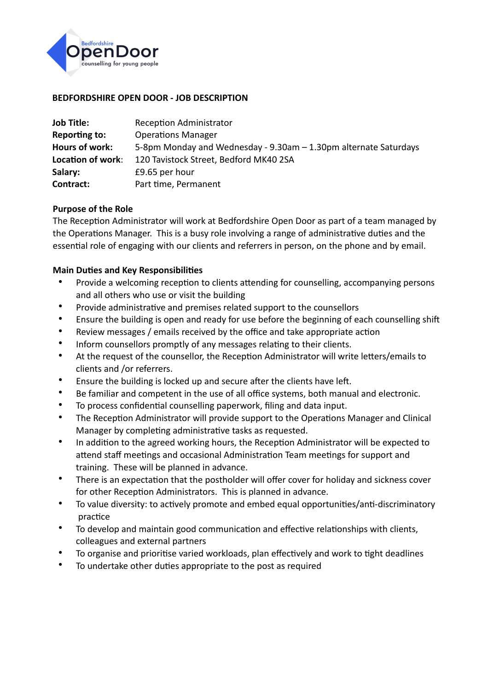

### **BEDFORDSHIRE OPEN DOOR - JOB DESCRIPTION**

| <b>Job Title:</b> | <b>Reception Administrator</b>                                   |
|-------------------|------------------------------------------------------------------|
| Reporting to:     | <b>Operations Manager</b>                                        |
| Hours of work:    | 5-8pm Monday and Wednesday - 9.30am - 1.30pm alternate Saturdays |
| Location of work: | 120 Tavistock Street, Bedford MK40 2SA                           |
| Salary:           | £9.65 per hour                                                   |
| Contract:         | Part time, Permanent                                             |

#### **Purpose of the Role**

The Reception Administrator will work at Bedfordshire Open Door as part of a team managed by the Operations Manager. This is a busy role involving a range of administrative duties and the essential role of engaging with our clients and referrers in person, on the phone and by email.

### **Main Duties and Key Responsibilities**

- Provide a welcoming reception to clients attending for counselling, accompanying persons and all others who use or visit the building
- Provide administrative and premises related support to the counsellors
- Ensure the building is open and ready for use before the beginning of each counselling shift
- Review messages / emails received by the office and take appropriate action
- Inform counsellors promptly of any messages relating to their clients.
- At the request of the counsellor, the Reception Administrator will write letters/emails to clients and /or referrers.
- Ensure the building is locked up and secure after the clients have left.
- Be familiar and competent in the use of all office systems, both manual and electronic.
- To process confidential counselling paperwork, filing and data input.
- The Reception Administrator will provide support to the Operations Manager and Clinical Manager by completing administrative tasks as requested.
- In addition to the agreed working hours, the Reception Administrator will be expected to attend staff meetings and occasional Administration Team meetings for support and training. These will be planned in advance.
- There is an expectation that the postholder will offer cover for holiday and sickness cover for other Reception Administrators. This is planned in advance.
- To value diversity: to actively promote and embed equal opportunities/anti-discriminatory practice
- To develop and maintain good communication and effective relationships with clients, colleagues and external partners
- To organise and prioritise varied workloads, plan effectively and work to tight deadlines
- To undertake other duties appropriate to the post as required